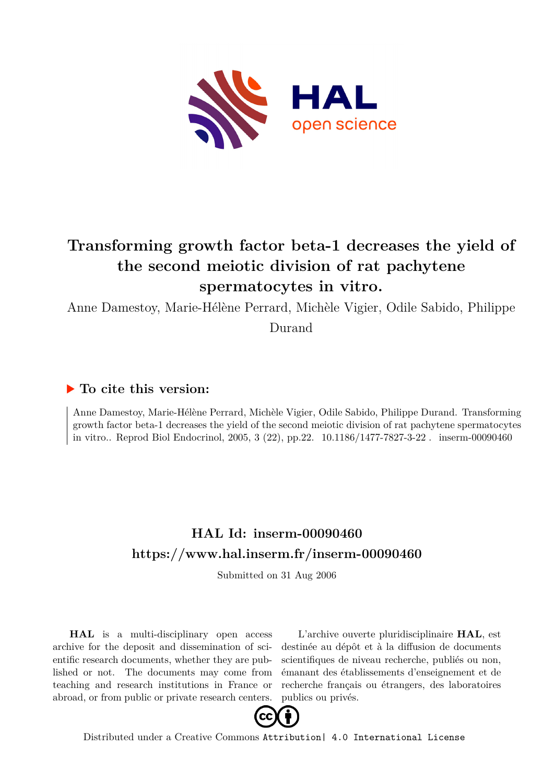

# **Transforming growth factor beta-1 decreases the yield of the second meiotic division of rat pachytene spermatocytes in vitro.**

Anne Damestoy, Marie-Hélène Perrard, Michèle Vigier, Odile Sabido, Philippe Durand

# **To cite this version:**

Anne Damestoy, Marie-Hélène Perrard, Michèle Vigier, Odile Sabido, Philippe Durand. Transforming growth factor beta-1 decreases the yield of the second meiotic division of rat pachytene spermatocytes in vitro.. Reprod Biol Endocrinol, 2005, 3 (22), pp.22.  $10.1186/1477-7827-3-22$ . inserm-00090460

# **HAL Id: inserm-00090460 <https://www.hal.inserm.fr/inserm-00090460>**

Submitted on 31 Aug 2006

**HAL** is a multi-disciplinary open access archive for the deposit and dissemination of scientific research documents, whether they are published or not. The documents may come from teaching and research institutions in France or abroad, or from public or private research centers.

L'archive ouverte pluridisciplinaire **HAL**, est destinée au dépôt et à la diffusion de documents scientifiques de niveau recherche, publiés ou non, émanant des établissements d'enseignement et de recherche français ou étrangers, des laboratoires publics ou privés.



Distributed under a Creative Commons [Attribution| 4.0 International License](http://creativecommons.org/licenses/by/4.0/)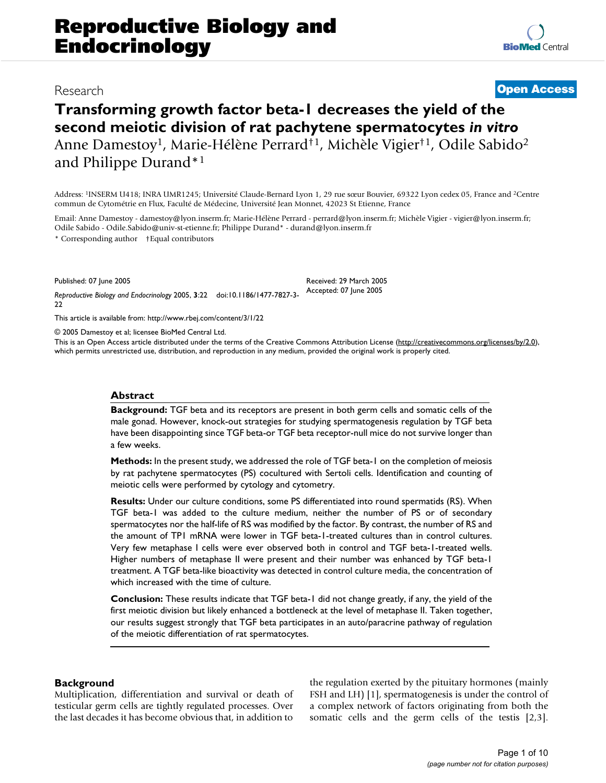# Research **[Open Access](http://www.biomedcentral.com/info/about/charter/)**

# **Transforming growth factor beta-1 decreases the yield of the second meiotic division of rat pachytene spermatocytes** *in vitro* Anne Damestoy<sup>1</sup>, Marie-Hélène Perrard†1, Michèle Vigier†1, Odile Sabido<sup>2</sup> and Philippe Durand\*<sup>1</sup>

Address: <sup>1</sup>INSERM U418; INRA UMR1245; Université Claude-Bernard Lyon 1, 29 rue sœur Bouvier, 69322 Lyon cedex 05, France and <sup>2</sup>Centre commun de Cytométrie en Flux, Faculté de Médecine, Université Jean Monnet, 42023 St Etienne, France

Email: Anne Damestoy - damestoy@lyon.inserm.fr; Marie-Hélène Perrard - perrard@lyon.inserm.fr; Michèle Vigier - vigier@lyon.inserm.fr; Odile Sabido - Odile.Sabido@univ-st-etienne.fr; Philippe Durand\* - durand@lyon.inserm.fr

\* Corresponding author †Equal contributors

Published: 07 June 2005

*Reproductive Biology and Endocrinology* 2005, **3**:22 doi:10.1186/1477-7827-3- 22 Accepted: 07 June 2005

[This article is available from: http://www.rbej.com/content/3/1/22](http://www.rbej.com/content/3/1/22)

© 2005 Damestoy et al; licensee BioMed Central Ltd.

This is an Open Access article distributed under the terms of the Creative Commons Attribution License [\(http://creativecommons.org/licenses/by/2.0\)](http://creativecommons.org/licenses/by/2.0), which permits unrestricted use, distribution, and reproduction in any medium, provided the original work is properly cited.

Received: 29 March 2005

#### **Abstract**

**Background:** TGF beta and its receptors are present in both germ cells and somatic cells of the male gonad. However, knock-out strategies for studying spermatogenesis regulation by TGF beta have been disappointing since TGF beta-or TGF beta receptor-null mice do not survive longer than a few weeks.

**Methods:** In the present study, we addressed the role of TGF beta-1 on the completion of meiosis by rat pachytene spermatocytes (PS) cocultured with Sertoli cells. Identification and counting of meiotic cells were performed by cytology and cytometry.

**Results:** Under our culture conditions, some PS differentiated into round spermatids (RS). When TGF beta-1 was added to the culture medium, neither the number of PS or of secondary spermatocytes nor the half-life of RS was modified by the factor. By contrast, the number of RS and the amount of TP1 mRNA were lower in TGF beta-1-treated cultures than in control cultures. Very few metaphase I cells were ever observed both in control and TGF beta-1-treated wells. Higher numbers of metaphase II were present and their number was enhanced by TGF beta-1 treatment. A TGF beta-like bioactivity was detected in control culture media, the concentration of which increased with the time of culture.

**Conclusion:** These results indicate that TGF beta-1 did not change greatly, if any, the yield of the first meiotic division but likely enhanced a bottleneck at the level of metaphase II. Taken together, our results suggest strongly that TGF beta participates in an auto/paracrine pathway of regulation of the meiotic differentiation of rat spermatocytes.

# **Background**

Multiplication, differentiation and survival or death of testicular germ cells are tightly regulated processes. Over the last decades it has become obvious that, in addition to

the regulation exerted by the pituitary hormones (mainly FSH and LH) [1], spermatogenesis is under the control of a complex network of factors originating from both the somatic cells and the germ cells of the testis [2,3].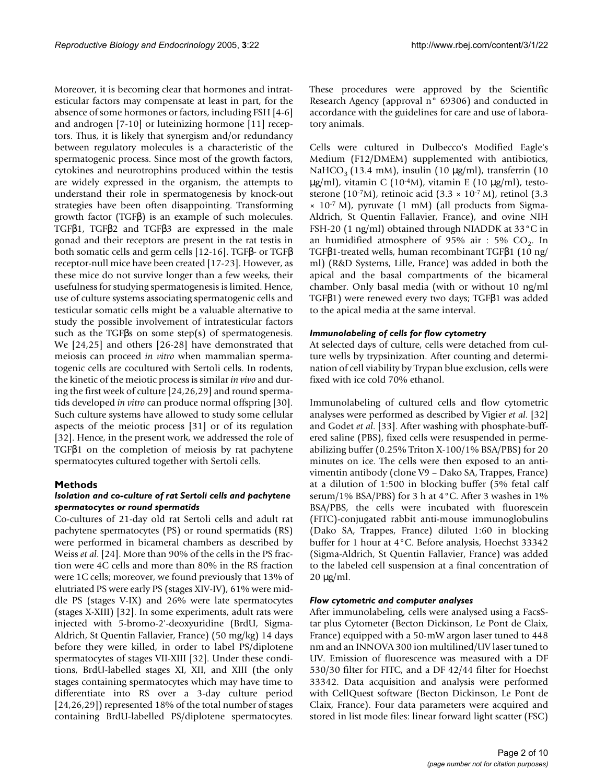Moreover, it is becoming clear that hormones and intratesticular factors may compensate at least in part, for the absence of some hormones or factors, including FSH [4-6] and androgen [7-10] or luteinizing hormone [11] receptors. Thus, it is likely that synergism and/or redundancy between regulatory molecules is a characteristic of the spermatogenic process. Since most of the growth factors, cytokines and neurotrophins produced within the testis are widely expressed in the organism, the attempts to understand their role in spermatogenesis by knock-out strategies have been often disappointing. Transforming growth factor (TGFβ) is an example of such molecules. TGFβ1, TGFβ2 and TGFβ3 are expressed in the male gonad and their receptors are present in the rat testis in both somatic cells and germ cells [12-16]. TGFβ- or TGFβ receptor-null mice have been created [17-23]. However, as these mice do not survive longer than a few weeks, their usefulness for studying spermatogenesis is limited. Hence, use of culture systems associating spermatogenic cells and testicular somatic cells might be a valuable alternative to study the possible involvement of intratesticular factors such as the TGF $\beta$ s on some step(s) of spermatogenesis. We [24,25] and others [26-28] have demonstrated that meiosis can proceed *in vitro* when mammalian spermatogenic cells are cocultured with Sertoli cells. In rodents, the kinetic of the meiotic process is similar *in vivo* and during the first week of culture [24,26,29] and round spermatids developed *in vitro* can produce normal offspring [30]. Such culture systems have allowed to study some cellular aspects of the meiotic process [31] or of its regulation [32]. Hence, in the present work, we addressed the role of TGFβ1 on the completion of meiosis by rat pachytene spermatocytes cultured together with Sertoli cells.

# **Methods**

# *Isolation and co-culture of rat Sertoli cells and pachytene spermatocytes or round spermatids*

Co-cultures of 21-day old rat Sertoli cells and adult rat pachytene spermatocytes (PS) or round spermatids (RS) were performed in bicameral chambers as described by Weiss *et al*. [24]. More than 90% of the cells in the PS fraction were 4C cells and more than 80% in the RS fraction were 1C cells; moreover, we found previously that 13% of elutriated PS were early PS (stages XIV-IV), 61% were middle PS (stages V-IX) and 26% were late spermatocytes (stages X-XIII) [32]. In some experiments, adult rats were injected with 5-bromo-2'-deoxyuridine (BrdU, Sigma-Aldrich, St Quentin Fallavier, France) (50 mg/kg) 14 days before they were killed, in order to label PS/diplotene spermatocytes of stages VII-XIII [32]. Under these conditions, BrdU-labelled stages XI, XII, and XIII (the only stages containing spermatocytes which may have time to differentiate into RS over a 3-day culture period [24,26,29]) represented 18% of the total number of stages containing BrdU-labelled PS/diplotene spermatocytes.

These procedures were approved by the Scientific Research Agency (approval n° 69306) and conducted in accordance with the guidelines for care and use of laboratory animals.

Cells were cultured in Dulbecco's Modified Eagle's Medium (F12/DMEM) supplemented with antibiotics, NaHCO<sub>3</sub> (13.4 mM), insulin (10  $\mu$ g/ml), transferrin (10  $\mu$ g/ml), vitamin C (10<sup>-4</sup>M), vitamin E (10  $\mu$ g/ml), testosterone (10<sup>-7</sup>M), retinoic acid (3.3  $\times$  10<sup>-7</sup> M), retinol (3.3  $\times$  10<sup>-7</sup> M), pyruvate (1 mM) (all products from Sigma-Aldrich, St Quentin Fallavier, France), and ovine NIH FSH-20 (1 ng/ml) obtained through NIADDK at 33°C in an humidified atmosphere of 95% air : 5%  $CO<sub>2</sub>$ . In TGFβ1-treated wells, human recombinant TGFβ1 (10 ng/ ml) (R&D Systems, Lille, France) was added in both the apical and the basal compartments of the bicameral chamber. Only basal media (with or without 10 ng/ml TGFβ1) were renewed every two days; TGFβ1 was added to the apical media at the same interval.

# *Immunolabeling of cells for flow cytometry*

At selected days of culture, cells were detached from culture wells by trypsinization. After counting and determination of cell viability by Trypan blue exclusion, cells were fixed with ice cold 70% ethanol.

Immunolabeling of cultured cells and flow cytometric analyses were performed as described by Vigier *et al*. [32] and Godet *et al*. [33]. After washing with phosphate-buffered saline (PBS), fixed cells were resuspended in permeabilizing buffer (0.25% Triton X-100/1% BSA/PBS) for 20 minutes on ice. The cells were then exposed to an antivimentin antibody (clone V9 – Dako SA, Trappes, France) at a dilution of 1:500 in blocking buffer (5% fetal calf serum/1% BSA/PBS) for 3 h at 4°C. After 3 washes in 1% BSA/PBS, the cells were incubated with fluorescein (FITC)-conjugated rabbit anti-mouse immunoglobulins (Dako SA, Trappes, France) diluted 1:60 in blocking buffer for 1 hour at 4°C. Before analysis, Hoechst 33342 (Sigma-Aldrich, St Quentin Fallavier, France) was added to the labeled cell suspension at a final concentration of  $20 \mu g/ml$ .

# *Flow cytometric and computer analyses*

After immunolabeling, cells were analysed using a FacsStar plus Cytometer (Becton Dickinson, Le Pont de Claix, France) equipped with a 50-mW argon laser tuned to 448 nm and an INNOVA 300 ion multilined/UV laser tuned to UV. Emission of fluorescence was measured with a DF 530/30 filter for FITC, and a DF 42/44 filter for Hoechst 33342. Data acquisition and analysis were performed with CellQuest software (Becton Dickinson, Le Pont de Claix, France). Four data parameters were acquired and stored in list mode files: linear forward light scatter (FSC)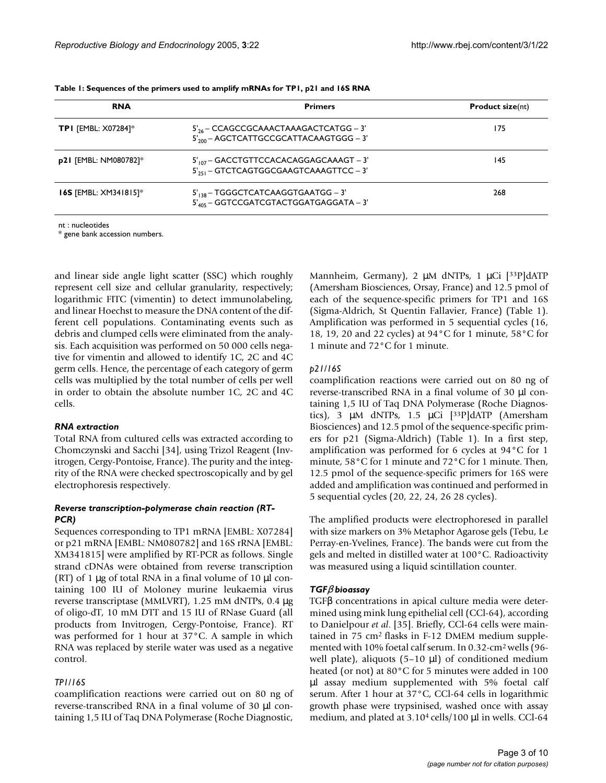| <b>RNA</b>                           | <b>Primers</b>                                     | <b>Product size(nt)</b> |  |  |
|--------------------------------------|----------------------------------------------------|-------------------------|--|--|
| <b>TPI</b> [EMBL: $X07284$ ]*        | $5'_{26}$ – CCAGCCGCAAACTAAAGACTCATGG – 3'         | 175                     |  |  |
|                                      | 5' <sub>200</sub> - AGCTCATTGCCGCATTACAAGTGGG - 3' |                         |  |  |
| p21 [EMBL: NM080782]*                | $5'_{107}$ – GACCTGTTCCACACAGGAGCAAAGT – 3'        | 145                     |  |  |
|                                      | $5'_{251}$ – GTCTCAGTGGCGAAGTCAAAGTTCC – 3'        |                         |  |  |
| <b>16S</b> [EMBL: $\times$ M341815]* | $5'_{138}$ – TGGGCTCATCAAGGTGAATGG – 3'            | 268                     |  |  |
|                                      | 5' <sub>405</sub> - GGTCCGATCGTACTGGATGAGGATA - 3' |                         |  |  |

**Table 1: Sequences of the primers used to amplify mRNAs for TP1, p21 and 16S RNA**

nt : nucleotides

\* gene bank accession numbers.

and linear side angle light scatter (SSC) which roughly represent cell size and cellular granularity, respectively; logarithmic FITC (vimentin) to detect immunolabeling, and linear Hoechst to measure the DNA content of the different cell populations. Contaminating events such as debris and clumped cells were eliminated from the analysis. Each acquisition was performed on 50 000 cells negative for vimentin and allowed to identify 1C, 2C and 4C germ cells. Hence, the percentage of each category of germ cells was multiplied by the total number of cells per well in order to obtain the absolute number 1C, 2C and 4C cells.

#### *RNA extraction*

Total RNA from cultured cells was extracted according to Chomczynski and Sacchi [34], using Trizol Reagent (Invitrogen, Cergy-Pontoise, France). The purity and the integrity of the RNA were checked spectroscopically and by gel electrophoresis respectively.

# *Reverse transcription-polymerase chain reaction (RT-PCR)*

Sequences corresponding to TP1 mRNA [EMBL: X07284] or p21 mRNA [EMBL: NM080782] and 16S rRNA [EMBL: XM341815] were amplified by RT-PCR as follows. Single strand cDNAs were obtained from reverse transcription  $(RT)$  of 1 µg of total RNA in a final volume of 10 µl containing 100 IU of Moloney murine leukaemia virus reverse transcriptase (MMLVRT), 1.25 mM dNTPs, 0.4 µg of oligo-dT, 10 mM DTT and 15 IU of RNase Guard (all products from Invitrogen, Cergy-Pontoise, France). RT was performed for 1 hour at 37°C. A sample in which RNA was replaced by sterile water was used as a negative control.

# *TP1/16S*

coamplification reactions were carried out on 80 ng of reverse-transcribed RNA in a final volume of 30 µl containing 1,5 IU of Taq DNA Polymerase (Roche Diagnostic, Mannheim, Germany), 2 µM dNTPs, 1 µCi [<sup>33</sup>P]dATP (Amersham Biosciences, Orsay, France) and 12.5 pmol of each of the sequence-specific primers for TP1 and 16S (Sigma-Aldrich, St Quentin Fallavier, France) (Table 1). Amplification was performed in 5 sequential cycles (16, 18, 19, 20 and 22 cycles) at 94°C for 1 minute, 58°C for 1 minute and 72°C for 1 minute.

# *p21/16S*

coamplification reactions were carried out on 80 ng of reverse-transcribed RNA in a final volume of 30 µl containing 1,5 IU of Taq DNA Polymerase (Roche Diagnostics), 3 µM dNTPs, 1.5 µCi [<sup>33</sup>P]dATP (Amersham Biosciences) and 12.5 pmol of the sequence-specific primers for p21 (Sigma-Aldrich) (Table 1). In a first step, amplification was performed for 6 cycles at 94°C for 1 minute, 58°C for 1 minute and 72°C for 1 minute. Then, 12.5 pmol of the sequence-specific primers for 16S were added and amplification was continued and performed in 5 sequential cycles (20, 22, 24, 26 28 cycles).

The amplified products were electrophoresed in parallel with size markers on 3% Metaphor Agarose gels (Tebu, Le Perray-en-Yvelines, France). The bands were cut from the gels and melted in distilled water at 100°C. Radioactivity was measured using a liquid scintillation counter.

# *TGF*β *bioassay*

TGFβ concentrations in apical culture media were determined using mink lung epithelial cell (CCl-64), according to Danielpour *et al*. [35]. Briefly, CCl-64 cells were maintained in 75 cm2 flasks in F-12 DMEM medium supplemented with 10% foetal calf serum. In 0.32-cm<sup>2</sup>wells (96 well plate), aliquots  $(5-10 \mu l)$  of conditioned medium heated (or not) at 80°C for 5 minutes were added in 100 µl assay medium supplemented with 5% foetal calf serum. After 1 hour at 37°C, CCl-64 cells in logarithmic growth phase were trypsinised, washed once with assay medium, and plated at  $3.10<sup>4</sup>$  cells/100 µl in wells. CCl-64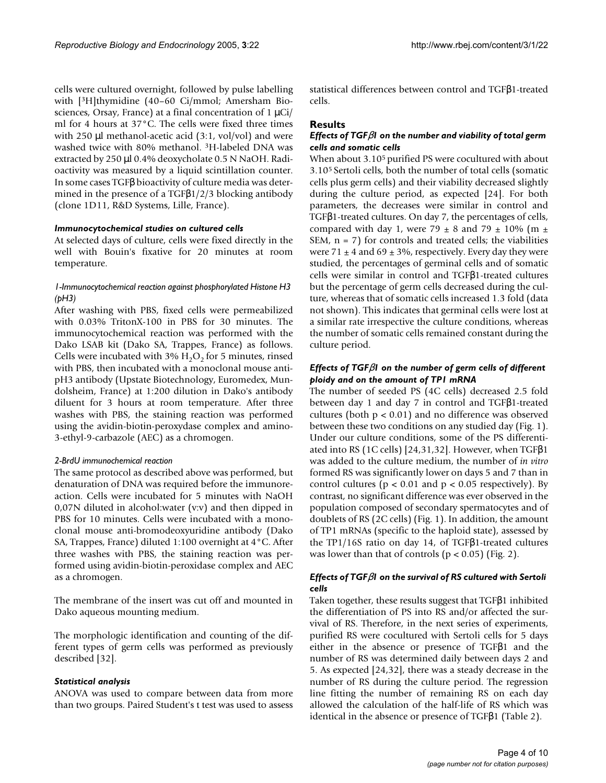cells were cultured overnight, followed by pulse labelling with [3H]thymidine (40–60 Ci/mmol; Amersham Biosciences, Orsay, France) at a final concentration of  $1 \mu\text{Ci}/$ ml for 4 hours at 37°C. The cells were fixed three times with 250 µl methanol-acetic acid (3:1, vol/vol) and were washed twice with 80% methanol. <sup>3</sup>H-labeled DNA was extracted by 250 µl 0.4% deoxycholate 0.5 N NaOH. Radioactivity was measured by a liquid scintillation counter. In some cases TGFβ bioactivity of culture media was determined in the presence of a TGF $\beta$ 1/2/3 blocking antibody (clone 1D11, R&D Systems, Lille, France).

#### *Immunocytochemical studies on cultured cells*

At selected days of culture, cells were fixed directly in the well with Bouin's fixative for 20 minutes at room temperature.

# *1-Immunocytochemical reaction against phosphorylated Histone H3 (pH3)*

After washing with PBS, fixed cells were permeabilized with 0.03% TritonX-100 in PBS for 30 minutes. The immunocytochemical reaction was performed with the Dako LSAB kit (Dako SA, Trappes, France) as follows. Cells were incubated with 3%  $H_2O_2$  for 5 minutes, rinsed with PBS, then incubated with a monoclonal mouse antipH3 antibody (Upstate Biotechnology, Euromedex, Mundolsheim, France) at 1:200 dilution in Dako's antibody diluent for 3 hours at room temperature. After three washes with PBS, the staining reaction was performed using the avidin-biotin-peroxydase complex and amino-3-ethyl-9-carbazole (AEC) as a chromogen.

#### *2-BrdU immunochemical reaction*

The same protocol as described above was performed, but denaturation of DNA was required before the immunoreaction. Cells were incubated for 5 minutes with NaOH 0,07N diluted in alcohol:water (v:v) and then dipped in PBS for 10 minutes. Cells were incubated with a monoclonal mouse anti-bromodeoxyuridine antibody (Dako SA, Trappes, France) diluted 1:100 overnight at 4°C. After three washes with PBS, the staining reaction was performed using avidin-biotin-peroxidase complex and AEC as a chromogen.

The membrane of the insert was cut off and mounted in Dako aqueous mounting medium.

The morphologic identification and counting of the different types of germ cells was performed as previously described [32].

#### *Statistical analysis*

ANOVA was used to compare between data from more than two groups. Paired Student's t test was used to assess

statistical differences between control and TGFβ1-treated cells.

### **Results**

# *Effects of TGF*β*1 on the number and viability of total germ cells and somatic cells*

When about 3.10<sup>5</sup> purified PS were cocultured with about 3.10<sup>5</sup> Sertoli cells, both the number of total cells (somatic cells plus germ cells) and their viability decreased slightly during the culture period, as expected [24]. For both parameters, the decreases were similar in control and TGFβ1-treated cultures. On day 7, the percentages of cells, compared with day 1, were  $79 \pm 8$  and  $79 \pm 10\%$  (m  $\pm$ SEM,  $n = 7$ ) for controls and treated cells; the viabilities were  $71 \pm 4$  and  $69 \pm 3$ %, respectively. Every day they were studied, the percentages of germinal cells and of somatic cells were similar in control and TGFβ1-treated cultures but the percentage of germ cells decreased during the culture, whereas that of somatic cells increased 1.3 fold (data not shown). This indicates that germinal cells were lost at a similar rate irrespective the culture conditions, whereas the number of somatic cells remained constant during the culture period.

# *Effects of TGF*β*1 on the number of germ cells of different ploidy and on the amount of TP1 mRNA*

The number of seeded PS (4C cells) decreased 2.5 fold between day 1 and day 7 in control and TGFβ1-treated cultures (both  $p < 0.01$ ) and no difference was observed between these two conditions on any studied day (Fig. 1). Under our culture conditions, some of the PS differentiated into RS (1C cells) [24,31,32]. However, when TGFβ1 was added to the culture medium, the number of *in vitro* formed RS was significantly lower on days 5 and 7 than in control cultures ( $p < 0.01$  and  $p < 0.05$  respectively). By contrast, no significant difference was ever observed in the population composed of secondary spermatocytes and of doublets of RS (2C cells) (Fig. 1). In addition, the amount of TP1 mRNAs (specific to the haploid state), assessed by the TP1/16S ratio on day 14, of TGFβ1-treated cultures was lower than that of controls  $(p < 0.05)$  (Fig. 2).

# *Effects of TGF*β*1 on the survival of RS cultured with Sertoli cells*

Taken together, these results suggest that TGFβ1 inhibited the differentiation of PS into RS and/or affected the survival of RS. Therefore, in the next series of experiments, purified RS were cocultured with Sertoli cells for 5 days either in the absence or presence of TGFβ1 and the number of RS was determined daily between days 2 and 5. As expected [24,32], there was a steady decrease in the number of RS during the culture period. The regression line fitting the number of remaining RS on each day allowed the calculation of the half-life of RS which was identical in the absence or presence of TGFβ1 (Table 2).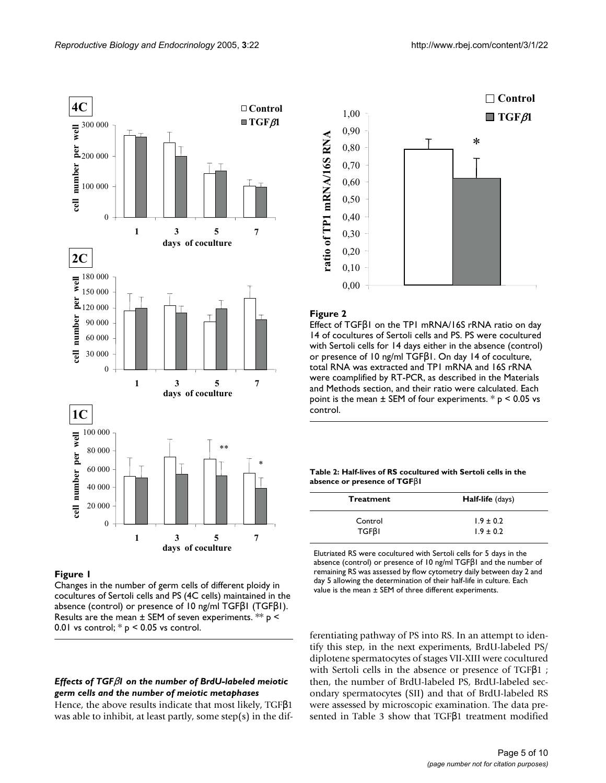

# Figure I

Changes in the number of germ cells of different ploidy in cocultures of Sertoli cells and PS (4C cells) maintained in the absence (control) or presence of 10 ng/ml TGFβ1 (TGFβ1). Results are the mean  $\pm$  SEM of seven experiments. \*\*  $p \le$ 0.01 vs control;  $*$   $p$  < 0.05 vs control.

# *Effects of TGF*β*1 on the number of BrdU-labeled meiotic germ cells and the number of meiotic metaphases*

Hence, the above results indicate that most likely, TGFβ1 was able to inhibit, at least partly, some step(s) in the dif-

**Control** 1,00  $\blacksquare$  TGF $\beta$ 1 0,90 ratio of TP1 mRNA/16S RNA **ratio of TP1 mRNA/16S RNA** \*0,80 0,70 0,60 0,50 0,40 0,30 0,20 0,10 0,00

# Figure 2

Effect of TGFβ1 on the TP1 mRNA/16S rRNA ratio on day 14 of cocultures of Sertoli cells and PS. PS were cocultured with Sertoli cells for 14 days either in the absence (control) or presence of 10 ng/ml TGFβ1. On day 14 of coculture, total RNA was extracted and TP1 mRNA and 16S rRNA were coamplified by RT-PCR, as described in the Materials and Methods section, and their ratio were calculated. Each point is the mean  $\pm$  SEM of four experiments.  $*$  p < 0.05 vs control.

**Table 2: Half-lives of RS cocultured with Sertoli cells in the absence or presence of TGF**β**1**

| <b>Treatment</b> | Half-life (days) |  |  |  |
|------------------|------------------|--|--|--|
| Control          | $1.9 \pm 0.2$    |  |  |  |
| $TGF\beta I$     | $1.9 \pm 0.2$    |  |  |  |

Elutriated RS were cocultured with Sertoli cells for 5 days in the absence (control) or presence of 10 ng/ml TGFβ1 and the number of remaining RS was assessed by flow cytometry daily between day 2 and day 5 allowing the determination of their half-life in culture. Each value is the mean ± SEM of three different experiments.

ferentiating pathway of PS into RS. In an attempt to identify this step, in the next experiments, BrdU-labeled PS/ diplotene spermatocytes of stages VII-XIII were cocultured with Sertoli cells in the absence or presence of TGFβ1 ; then, the number of BrdU-labeled PS, BrdU-labeled secondary spermatocytes (SII) and that of BrdU-labeled RS were assessed by microscopic examination. The data presented in Table 3 show that TGFβ1 treatment modified

#### Page 5 of 10 *(page number not for citation purposes)*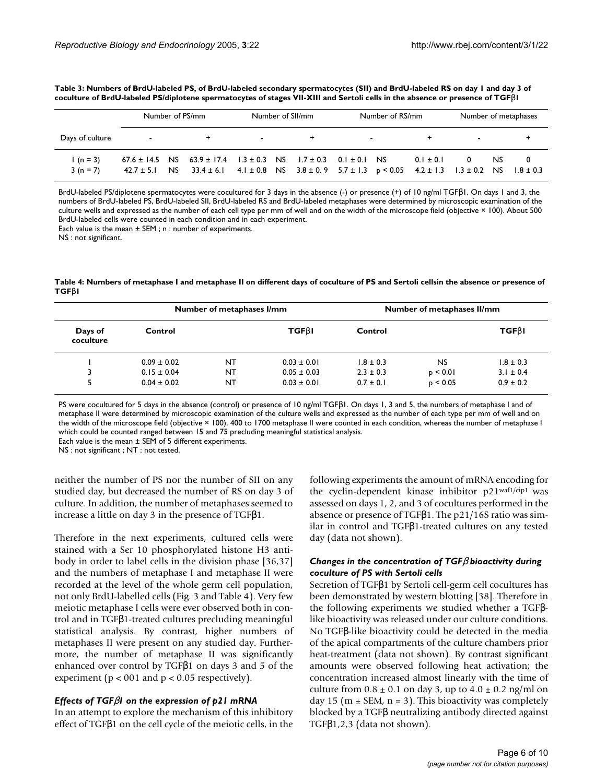|                          | Number of PS/mm |  | Number of SII/mm                                                                                                                                                                                                            |                         | Number of RS/mm |  |  | Number of metaphases |               |  |     |  |
|--------------------------|-----------------|--|-----------------------------------------------------------------------------------------------------------------------------------------------------------------------------------------------------------------------------|-------------------------|-----------------|--|--|----------------------|---------------|--|-----|--|
| Days of culture          | $\sim$          |  |                                                                                                                                                                                                                             | <b>Service Contract</b> |                 |  |  | $\sim$ $\sim$        |               |  |     |  |
| $1(n = 3)$<br>$3(n = 7)$ |                 |  | $67.6 \pm 14.5$ NS $63.9 \pm 17.4$ $1.3 \pm 0.3$ NS $1.7 \pm 0.3$ 0.1 $\pm$ 0.1 NS<br>$42.7 \pm 5.1$ NS $33.4 \pm 6.1$ $4.1 \pm 0.8$ NS $3.8 \pm 0.9$ $5.7 \pm 1.3$ $p < 0.05$ $4.2 \pm 1.3$ $1.3 \pm 0.2$ NS $1.8 \pm 0.3$ |                         |                 |  |  |                      | $0.1 \pm 0.1$ |  | NS. |  |

**Table 3: Numbers of BrdU-labeled PS, of BrdU-labeled secondary spermatocytes (SII) and BrdU-labeled RS on day 1 and day 3 of coculture of BrdU-labeled PS/diplotene spermatocytes of stages VII-XIII and Sertoli cells in the absence or presence of TGF**β**1**

BrdU-labeled PS/diplotene spermatocytes were cocultured for 3 days in the absence (-) or presence (+) of 10 ng/ml TGFβ1. On days 1 and 3, the numbers of BrdU-labeled PS, BrdU-labeled SII, BrdU-labeled RS and BrdU-labeled metaphases were determined by microscopic examination of the culture wells and expressed as the number of each cell type per mm of well and on the width of the microscope field (objective × 100). About 500 BrdU-labeled cells were counted in each condition and in each experiment.

Each value is the mean ± SEM ; n : number of experiments.

NS : not significant.

**Table 4: Numbers of metaphase I and metaphase II on different days of coculture of PS and Sertoli cellsin the absence or presence of TGF**β**1**

|                      |                 | Number of metaphases I/mm |                 | Number of metaphases II/mm |           |               |  |
|----------------------|-----------------|---------------------------|-----------------|----------------------------|-----------|---------------|--|
| Days of<br>coculture | Control         |                           | <b>TGFBI</b>    | Control                    |           | $TGF\beta I$  |  |
|                      | $0.09 \pm 0.02$ | NT                        | $0.03 \pm 0.01$ | $1.8 \pm 0.3$              | <b>NS</b> | $1.8 \pm 0.3$ |  |
|                      | $0.15 \pm 0.04$ | NT                        | $0.05 \pm 0.03$ | $2.3 \pm 0.3$              | p < 0.01  | $3.1 \pm 0.4$ |  |
|                      | $0.04 \pm 0.02$ | NT                        | $0.03 \pm 0.01$ | $0.7 \pm 0.1$              | p < 0.05  | $0.9 \pm 0.2$ |  |

PS were cocultured for 5 days in the absence (control) or presence of 10 ng/ml TGFβ1. On days 1, 3 and 5, the numbers of metaphase I and of metaphase II were determined by microscopic examination of the culture wells and expressed as the number of each type per mm of well and on the width of the microscope field (objective × 100). 400 to 1700 metaphase II were counted in each condition, whereas the number of metaphase I which could be counted ranged between 15 and 75 precluding meaningful statistical analysis.

Each value is the mean  $\pm$  SEM of 5 different experiments.

NS : not significant ; NT : not tested.

neither the number of PS nor the number of SII on any studied day, but decreased the number of RS on day 3 of culture. In addition, the number of metaphases seemed to increase a little on day 3 in the presence of TGFβ1.

Therefore in the next experiments, cultured cells were stained with a Ser 10 phosphorylated histone H3 antibody in order to label cells in the division phase [36,37] and the numbers of metaphase I and metaphase II were recorded at the level of the whole germ cell population, not only BrdU-labelled cells (Fig. 3 and Table 4). Very few meiotic metaphase I cells were ever observed both in control and in TGFβ1-treated cultures precluding meaningful statistical analysis. By contrast, higher numbers of metaphases II were present on any studied day. Furthermore, the number of metaphase II was significantly enhanced over control by TGFβ1 on days 3 and 5 of the experiment ( $p < 001$  and  $p < 0.05$  respectively).

### *Effects of TGF*β*1 on the expression of p21 mRNA*

In an attempt to explore the mechanism of this inhibitory effect of TGFβ1 on the cell cycle of the meiotic cells, in the following experiments the amount of mRNA encoding for the cyclin-dependent kinase inhibitor p21waf1/cip1 was assessed on days 1, 2, and 3 of cocultures performed in the absence or presence of TGFβ1. The p21/16S ratio was similar in control and TGFβ1-treated cultures on any tested day (data not shown).

# *Changes in the concentration of TGF*β *bioactivity during coculture of PS with Sertoli cells*

Secretion of TGFβ1 by Sertoli cell-germ cell cocultures has been demonstrated by western blotting [38]. Therefore in the following experiments we studied whether a TGFβlike bioactivity was released under our culture conditions. No TGFβ-like bioactivity could be detected in the media of the apical compartments of the culture chambers prior heat-treatment (data not shown). By contrast significant amounts were observed following heat activation; the concentration increased almost linearly with the time of culture from  $0.8 \pm 0.1$  on day 3, up to  $4.0 \pm 0.2$  ng/ml on day 15 ( $m \pm$  SEM,  $n = 3$ ). This bioactivity was completely blocked by a TGFβ neutralizing antibody directed against TGFβ1,2,3 (data not shown).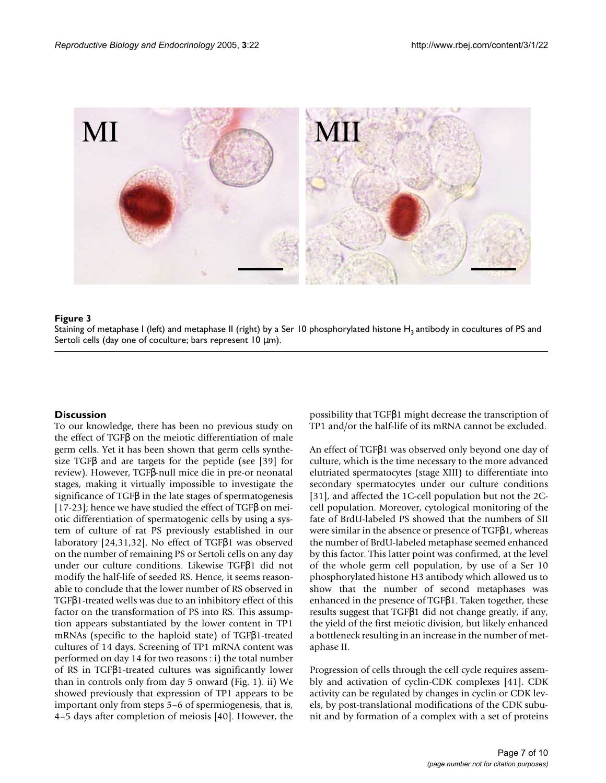

Staining of metaphase I (left) and metaphase II (right) by a Ser 10 phosphorylated histone H3 Sertoli cells (day one of co **Figure 3** culture; bars represent 10 µm) antibody in cocultures of PS and Staining of metaphase I (left) and metaphase II (right) by a Ser 10 phosphorylated histone  $H_3$  antibody in cocultures of PS and Sertoli cells (day one of coculture; bars represent 10  $\mu$ m).

# **Discussion**

To our knowledge, there has been no previous study on the effect of TGFβ on the meiotic differentiation of male germ cells. Yet it has been shown that germ cells synthesize TGFβ and are targets for the peptide (see [39] for review). However, TGFβ-null mice die in pre-or neonatal stages, making it virtually impossible to investigate the significance of TGFβ in the late stages of spermatogenesis [17-23]; hence we have studied the effect of TGFβ on meiotic differentiation of spermatogenic cells by using a system of culture of rat PS previously established in our laboratory [24,31,32]. No effect of TGFβ1 was observed on the number of remaining PS or Sertoli cells on any day under our culture conditions. Likewise TGFβ1 did not modify the half-life of seeded RS. Hence, it seems reasonable to conclude that the lower number of RS observed in TGFβ1-treated wells was due to an inhibitory effect of this factor on the transformation of PS into RS. This assumption appears substantiated by the lower content in TP1 mRNAs (specific to the haploid state) of TGFβ1-treated cultures of 14 days. Screening of TP1 mRNA content was performed on day 14 for two reasons : i) the total number of RS in TGFβ1-treated cultures was significantly lower than in controls only from day 5 onward (Fig. 1). ii) We showed previously that expression of TP1 appears to be important only from steps 5–6 of spermiogenesis, that is, 4–5 days after completion of meiosis [40]. However, the possibility that TGFβ1 might decrease the transcription of TP1 and/or the half-life of its mRNA cannot be excluded.

An effect of TGFβ1 was observed only beyond one day of culture, which is the time necessary to the more advanced elutriated spermatocytes (stage XIII) to differentiate into secondary spermatocytes under our culture conditions [31], and affected the 1C-cell population but not the 2Ccell population. Moreover, cytological monitoring of the fate of BrdU-labeled PS showed that the numbers of SII were similar in the absence or presence of TGFβ1, whereas the number of BrdU-labeled metaphase seemed enhanced by this factor. This latter point was confirmed, at the level of the whole germ cell population, by use of a Ser 10 phosphorylated histone H3 antibody which allowed us to show that the number of second metaphases was enhanced in the presence of TGFβ1. Taken together, these results suggest that TGFβ1 did not change greatly, if any, the yield of the first meiotic division, but likely enhanced a bottleneck resulting in an increase in the number of metaphase II.

Progression of cells through the cell cycle requires assembly and activation of cyclin-CDK complexes [41]. CDK activity can be regulated by changes in cyclin or CDK levels, by post-translational modifications of the CDK subunit and by formation of a complex with a set of proteins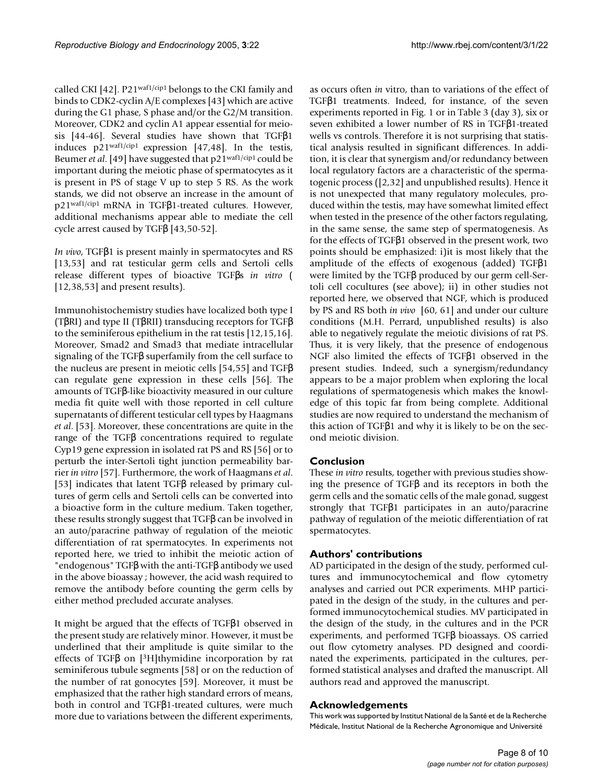called CKI [42]. P21waf1/cip1 belongs to the CKI family and binds to CDK2-cyclin A/E complexes [43] which are active during the G1 phase, S phase and/or the G2/M transition. Moreover, CDK2 and cyclin A1 appear essential for meiosis [44-46]. Several studies have shown that TGFβ1 induces p21waf1/cip1 expression [47,48]. In the testis, Beumer *et al*. [49] have suggested that p21waf1/cip1 could be important during the meiotic phase of spermatocytes as it is present in PS of stage V up to step 5 RS. As the work stands, we did not observe an increase in the amount of p21waf1/cip1 mRNA in TGFβ1-treated cultures. However, additional mechanisms appear able to mediate the cell cycle arrest caused by TGFβ [43,50-52].

*In vivo*, TGFβ1 is present mainly in spermatocytes and RS [13,53] and rat testicular germ cells and Sertoli cells release different types of bioactive TGFβs *in vitro* ( [12,38,53] and present results].

Immunohistochemistry studies have localized both type I (TβRI) and type II (TβRII) transducing receptors for TGFβ to the seminiferous epithelium in the rat testis [12,15,16]. Moreover, Smad2 and Smad3 that mediate intracellular signaling of the TGFβ superfamily from the cell surface to the nucleus are present in meiotic cells [54,55] and TGFβ can regulate gene expression in these cells [56]. The amounts of TGFβ-like bioactivity measured in our culture media fit quite well with those reported in cell culture supernatants of different testicular cell types by Haagmans *et al*. [53]. Moreover, these concentrations are quite in the range of the TGFβ concentrations required to regulate Cyp19 gene expression in isolated rat PS and RS [56] or to perturb the inter-Sertoli tight junction permeability barrier *in vitro* [57]. Furthermore, the work of Haagmans *et al*. [53] indicates that latent TGFβ released by primary cultures of germ cells and Sertoli cells can be converted into a bioactive form in the culture medium. Taken together, these results strongly suggest that TGFβ can be involved in an auto/paracrine pathway of regulation of the meiotic differentiation of rat spermatocytes. In experiments not reported here, we tried to inhibit the meiotic action of "endogenous" TGFβ with the anti-TGFβ antibody we used in the above bioassay ; however, the acid wash required to remove the antibody before counting the germ cells by either method precluded accurate analyses.

It might be argued that the effects of TGFβ1 observed in the present study are relatively minor. However, it must be underlined that their amplitude is quite similar to the effects of TGFβ on [<sup>3</sup>H]thymidine incorporation by rat seminiferous tubule segments [58] or on the reduction of the number of rat gonocytes [59]. Moreover, it must be emphasized that the rather high standard errors of means, both in control and TGFβ1-treated cultures, were much more due to variations between the different experiments,

as occurs often *in* vitro, than to variations of the effect of TGFβ1 treatments. Indeed, for instance, of the seven experiments reported in Fig. 1 or in Table 3 (day 3), six or seven exhibited a lower number of RS in TGFβ1-treated wells vs controls. Therefore it is not surprising that statistical analysis resulted in significant differences. In addition, it is clear that synergism and/or redundancy between local regulatory factors are a characteristic of the spermatogenic process ([2,32] and unpublished results). Hence it is not unexpected that many regulatory molecules, produced within the testis, may have somewhat limited effect when tested in the presence of the other factors regulating, in the same sense, the same step of spermatogenesis. As for the effects of TGFβ1 observed in the present work, two points should be emphasized: i)it is most likely that the amplitude of the effects of exogenous (added) TGFβ1 were limited by the TGFβ produced by our germ cell-Sertoli cell cocultures (see above); ii) in other studies not reported here, we observed that NGF, which is produced by PS and RS both *in vivo* [60, 61] and under our culture conditions (M.H. Perrard, unpublished results) is also able to negatively regulate the meiotic divisions of rat PS. Thus, it is very likely, that the presence of endogenous NGF also limited the effects of TGFβ1 observed in the present studies. Indeed, such a synergism/redundancy appears to be a major problem when exploring the local regulations of spermatogenesis which makes the knowledge of this topic far from being complete. Additional studies are now required to understand the mechanism of this action of TGFβ1 and why it is likely to be on the second meiotic division.

# **Conclusion**

These *in vitro* results, together with previous studies showing the presence of TGFβ and its receptors in both the germ cells and the somatic cells of the male gonad, suggest strongly that TGFβ1 participates in an auto/paracrine pathway of regulation of the meiotic differentiation of rat spermatocytes.

# **Authors' contributions**

AD participated in the design of the study, performed cultures and immunocytochemical and flow cytometry analyses and carried out PCR experiments. MHP participated in the design of the study, in the cultures and performed immunocytochemical studies. MV participated in the design of the study, in the cultures and in the PCR experiments, and performed TGFβ bioassays. OS carried out flow cytometry analyses. PD designed and coordinated the experiments, participated in the cultures, performed statistical analyses and drafted the manuscript. All authors read and approved the manuscript.

# **Acknowledgements**

This work was supported by Institut National de la Santé et de la Recherche Médicale, Institut National de la Recherche Agronomique and Université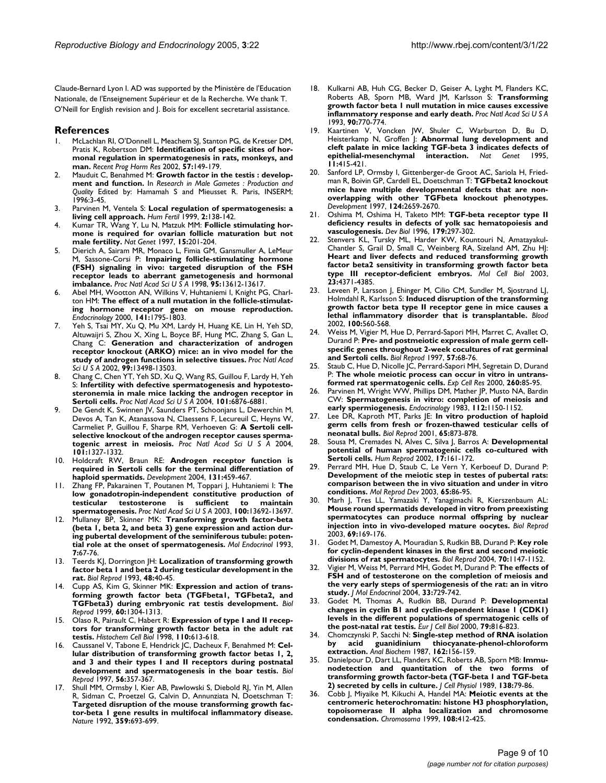Claude-Bernard Lyon I. AD was supported by the Ministère de l'Education Nationale, de l'Enseignement Supérieur et de la Recherche. We thank T. O'Neill for English revision and J. Bois for excellent secretarial assistance.

#### **References**

- McLachlan RI, O'Donnell L, Meachem SJ, Stanton PG, de Kretser DM, Pratis K, Robertson DM: **[Identification of specific sites of hor](http://www.ncbi.nlm.nih.gov/entrez/query.fcgi?cmd=Retrieve&db=PubMed&dopt=Abstract&list_uids=12017541)[monal regulation in spermatogenesis in rats, monkeys, and](http://www.ncbi.nlm.nih.gov/entrez/query.fcgi?cmd=Retrieve&db=PubMed&dopt=Abstract&list_uids=12017541) [man.](http://www.ncbi.nlm.nih.gov/entrez/query.fcgi?cmd=Retrieve&db=PubMed&dopt=Abstract&list_uids=12017541)** *Recent Prog Horm Res* 2002, **57:**149-179.
- Mauduit C, Benahmed M: Growth factor in the testis : develop**ment and function.** In *Research in Male Gametes : Production and Quality* Edited by: Hamamah S and Mieusset R. Paris, INSERM; 1996:3-45.
- 3. Parvinen M, Ventela S: **Local regulation of spermatogenesis: a living cell approach.** *Hum Fertil* 1999, **2:**138-142.
- 4. Kumar TR, Wang Y, Lu N, Matzuk MM: **[Follicle stimulating hor](http://www.ncbi.nlm.nih.gov/entrez/query.fcgi?cmd=Retrieve&db=PubMed&dopt=Abstract&list_uids=9020850)[mone is required for ovarian follicle maturation but not](http://www.ncbi.nlm.nih.gov/entrez/query.fcgi?cmd=Retrieve&db=PubMed&dopt=Abstract&list_uids=9020850) [male fertility.](http://www.ncbi.nlm.nih.gov/entrez/query.fcgi?cmd=Retrieve&db=PubMed&dopt=Abstract&list_uids=9020850)** *Nat Genet* 1997, **15:**201-204.
- 5. Dierich A, Sairam MR, Monaco L, Fimia GM, Gansmuller A, LeMeur M, Sassone-Corsi P: **[Impairing follicle-stimulating hormone](http://www.ncbi.nlm.nih.gov/entrez/query.fcgi?cmd=Retrieve&db=PubMed&dopt=Abstract&list_uids=9811848) [\(FSH\) signaling in vivo: targeted disruption of the FSH](http://www.ncbi.nlm.nih.gov/entrez/query.fcgi?cmd=Retrieve&db=PubMed&dopt=Abstract&list_uids=9811848) receptor leads to aberrant gametogenesis and hormonal [imbalance.](http://www.ncbi.nlm.nih.gov/entrez/query.fcgi?cmd=Retrieve&db=PubMed&dopt=Abstract&list_uids=9811848)** *Proc Natl Acad Sci U S A* 1998, **95:**13612-13617.
- 6. Abel MH, Wootton AN, Wilkins V, Huhtaniemi I, Knight PG, Charlton HM: **[The effect of a null mutation in the follicle-stimulat](http://www.ncbi.nlm.nih.gov/entrez/query.fcgi?cmd=Retrieve&db=PubMed&dopt=Abstract&list_uids=10803590)[ing hormone receptor gene on mouse reproduction.](http://www.ncbi.nlm.nih.gov/entrez/query.fcgi?cmd=Retrieve&db=PubMed&dopt=Abstract&list_uids=10803590)** *Endocrinology* 2000, **141:**1795-1803.
- Yeh S, Tsai MY, Xu Q, Mu XM, Lardy H, Huang KE, Lin H, Yeh SD, Altuwaijri S, Zhou X, Xing L, Boyce BF, Hung MC, Zhang S, Gan L, Chang C: **[Generation and characterization of androgen](http://www.ncbi.nlm.nih.gov/entrez/query.fcgi?cmd=Retrieve&db=PubMed&dopt=Abstract&list_uids=12370412) [receptor knockout \(ARKO\) mice: an in vivo model for the](http://www.ncbi.nlm.nih.gov/entrez/query.fcgi?cmd=Retrieve&db=PubMed&dopt=Abstract&list_uids=12370412) [study of androgen functions in selective tissues.](http://www.ncbi.nlm.nih.gov/entrez/query.fcgi?cmd=Retrieve&db=PubMed&dopt=Abstract&list_uids=12370412)** *Proc Natl Acad Sci U S A* 2002, **99:**13498-13503.
- 8. Chang C, Chen YT, Yeh SD, Xu Q, Wang RS, Guillou F, Lardy H, Yeh S: **[Infertility with defective spermatogenesis and hypotesto](http://www.ncbi.nlm.nih.gov/entrez/query.fcgi?cmd=Retrieve&db=PubMed&dopt=Abstract&list_uids=15107499)[steronemia in male mice lacking the androgen receptor in](http://www.ncbi.nlm.nih.gov/entrez/query.fcgi?cmd=Retrieve&db=PubMed&dopt=Abstract&list_uids=15107499) [Sertoli cells.](http://www.ncbi.nlm.nih.gov/entrez/query.fcgi?cmd=Retrieve&db=PubMed&dopt=Abstract&list_uids=15107499)** *Proc Natl Acad Sci U S A* 2004, **101:**6876-6881.
- De Gendt K, Swinnen JV, Saunders PT, Schoonjans L, Dewerchin M, Devos A, Tan K, Atanassova N, Claessens F, Lecureuil C, Heyns W, Carmeliet P, Guillou F, Sharpe RM, Verhoeven G: **[A Sertoli cell](http://www.ncbi.nlm.nih.gov/entrez/query.fcgi?cmd=Retrieve&db=PubMed&dopt=Abstract&list_uids=14745012)[selective knockout of the androgen receptor causes sperma](http://www.ncbi.nlm.nih.gov/entrez/query.fcgi?cmd=Retrieve&db=PubMed&dopt=Abstract&list_uids=14745012)[togenic arrest in meiosis.](http://www.ncbi.nlm.nih.gov/entrez/query.fcgi?cmd=Retrieve&db=PubMed&dopt=Abstract&list_uids=14745012)** *Proc Natl Acad Sci U S A* 2004, **101:**1327-1332.
- 10. Holdcraft RW, Braun RE: **[Androgen receptor function is](http://www.ncbi.nlm.nih.gov/entrez/query.fcgi?cmd=Retrieve&db=PubMed&dopt=Abstract&list_uids=14701682) [required in Sertoli cells for the terminal differentiation of](http://www.ncbi.nlm.nih.gov/entrez/query.fcgi?cmd=Retrieve&db=PubMed&dopt=Abstract&list_uids=14701682) [haploid spermatids.](http://www.ncbi.nlm.nih.gov/entrez/query.fcgi?cmd=Retrieve&db=PubMed&dopt=Abstract&list_uids=14701682)** *Development* 2004, **131:**459-467.
- 11. Zhang FP, Pakarainen T, Poutanen M, Toppari J, Huhtaniemi I: **[The](http://www.ncbi.nlm.nih.gov/entrez/query.fcgi?cmd=Retrieve&db=PubMed&dopt=Abstract&list_uids=14585929) [low gonadotropin-independent constitutive production of](http://www.ncbi.nlm.nih.gov/entrez/query.fcgi?cmd=Retrieve&db=PubMed&dopt=Abstract&list_uids=14585929) testicular testosterone is sufficient to maintain [spermatogenesis.](http://www.ncbi.nlm.nih.gov/entrez/query.fcgi?cmd=Retrieve&db=PubMed&dopt=Abstract&list_uids=14585929)** *Proc Natl Acad Sci U S A* 2003, **100:**13692-13697.
- 12. Mullaney BP, Skinner MK: **[Transforming growth factor-beta](http://www.ncbi.nlm.nih.gov/entrez/query.fcgi?cmd=Retrieve&db=PubMed&dopt=Abstract&list_uids=8446109) [\(beta 1, beta 2, and beta 3\) gene expression and action dur](http://www.ncbi.nlm.nih.gov/entrez/query.fcgi?cmd=Retrieve&db=PubMed&dopt=Abstract&list_uids=8446109)ing pubertal development of the seminiferous tubule: poten[tial role at the onset of spermatogenesis.](http://www.ncbi.nlm.nih.gov/entrez/query.fcgi?cmd=Retrieve&db=PubMed&dopt=Abstract&list_uids=8446109)** *Mol Endocrinol* 1993, **7:**67-76.
- 13. Teerds KJ, Dorrington JH: **[Localization of transforming growth](http://www.ncbi.nlm.nih.gov/entrez/query.fcgi?cmd=Retrieve&db=PubMed&dopt=Abstract&list_uids=8418916) [factor beta 1 and beta 2 during testicular development in the](http://www.ncbi.nlm.nih.gov/entrez/query.fcgi?cmd=Retrieve&db=PubMed&dopt=Abstract&list_uids=8418916) [rat.](http://www.ncbi.nlm.nih.gov/entrez/query.fcgi?cmd=Retrieve&db=PubMed&dopt=Abstract&list_uids=8418916)** *Biol Reprod* 1993, **48:**40-45.
- 14. Cupp AS, Kim G, Skinner MK: **[Expression and action of trans](http://www.ncbi.nlm.nih.gov/entrez/query.fcgi?cmd=Retrieve&db=PubMed&dopt=Abstract&list_uids=10330085)[forming growth factor beta \(TGFbeta1, TGFbeta2, and](http://www.ncbi.nlm.nih.gov/entrez/query.fcgi?cmd=Retrieve&db=PubMed&dopt=Abstract&list_uids=10330085) [TGFbeta3\) during embryonic rat testis development.](http://www.ncbi.nlm.nih.gov/entrez/query.fcgi?cmd=Retrieve&db=PubMed&dopt=Abstract&list_uids=10330085)** *Biol Reprod* 1999, **60:**1304-1313.
- 15. Olaso R, Pairault C, Habert R: **[Expression of type I and II recep](http://www.ncbi.nlm.nih.gov/entrez/query.fcgi?cmd=Retrieve&db=PubMed&dopt=Abstract&list_uids=9860260)[tors for transforming growth factor beta in the adult rat](http://www.ncbi.nlm.nih.gov/entrez/query.fcgi?cmd=Retrieve&db=PubMed&dopt=Abstract&list_uids=9860260) [testis.](http://www.ncbi.nlm.nih.gov/entrez/query.fcgi?cmd=Retrieve&db=PubMed&dopt=Abstract&list_uids=9860260)** *Histochem Cell Biol* 1998, **110:**613-618.
- 16. Caussanel V, Tabone E, Hendrick JC, Dacheux F, Benahmed M: **[Cel](http://www.ncbi.nlm.nih.gov/entrez/query.fcgi?cmd=Retrieve&db=PubMed&dopt=Abstract&list_uids=9116134)[lular distribution of transforming growth factor betas 1, 2,](http://www.ncbi.nlm.nih.gov/entrez/query.fcgi?cmd=Retrieve&db=PubMed&dopt=Abstract&list_uids=9116134) and 3 and their types I and II receptors during postnatal [development and spermatogenesis in the boar testis.](http://www.ncbi.nlm.nih.gov/entrez/query.fcgi?cmd=Retrieve&db=PubMed&dopt=Abstract&list_uids=9116134)** *Biol Reprod* 1997, **56:**357-367.
- 17. Shull MM, Ormsby I, Kier AB, Pawlowski S, Diebold RJ, Yin M, Allen R, Sidman C, Proetzel G, Calvin D, Annunziata N, Doetschman T: **[Targeted disruption of the mouse transforming growth fac](http://www.ncbi.nlm.nih.gov/entrez/query.fcgi?cmd=Retrieve&db=PubMed&dopt=Abstract&list_uids=1436033)tor-beta 1 gene results in multifocal inflammatory disease.** *Nature* 1992, **359:**693-699.
- 18. Kulkarni AB, Huh CG, Becker D, Geiser A, Lyght M, Flanders KC, Roberts AB, Sporn MB, Ward JM, Karlsson S: **[Transforming](http://www.ncbi.nlm.nih.gov/entrez/query.fcgi?cmd=Retrieve&db=PubMed&dopt=Abstract&list_uids=8421714) [growth factor beta 1 null mutation in mice causes excessive](http://www.ncbi.nlm.nih.gov/entrez/query.fcgi?cmd=Retrieve&db=PubMed&dopt=Abstract&list_uids=8421714) [inflammatory response and early death.](http://www.ncbi.nlm.nih.gov/entrez/query.fcgi?cmd=Retrieve&db=PubMed&dopt=Abstract&list_uids=8421714)** *Proc Natl Acad Sci U S A* 1993, **90:**770-774.
- 19. Kaartinen V, Voncken JW, Shuler C, Warburton D, Bu D, Heisterkamp N, Groffen J: **[Abnormal lung development and](http://www.ncbi.nlm.nih.gov/entrez/query.fcgi?cmd=Retrieve&db=PubMed&dopt=Abstract&list_uids=7493022) [cleft palate in mice lacking TGF-beta 3 indicates defects of](http://www.ncbi.nlm.nih.gov/entrez/query.fcgi?cmd=Retrieve&db=PubMed&dopt=Abstract&list_uids=7493022)**  $e$ pithelial-mesenchymal **11:**415-421.
- 20. Sanford LP, Ormsby I, Gittenberger-de Groot AC, Sariola H, Friedman R, Boivin GP, Cardell EL, Doetschman T: **[TGFbeta2 knockout](http://www.ncbi.nlm.nih.gov/entrez/query.fcgi?cmd=Retrieve&db=PubMed&dopt=Abstract&list_uids=9217007) mice have multiple developmental defects that are non[overlapping with other TGFbeta knockout phenotypes.](http://www.ncbi.nlm.nih.gov/entrez/query.fcgi?cmd=Retrieve&db=PubMed&dopt=Abstract&list_uids=9217007)** *Development* 1997, **124:**2659-2670.
- 21. Oshima M, Oshima H, Taketo MM: **[TGF-beta receptor type II](http://www.ncbi.nlm.nih.gov/entrez/query.fcgi?cmd=Retrieve&db=PubMed&dopt=Abstract&list_uids=8873772) [deficiency results in defects of yolk sac hematopoiesis and](http://www.ncbi.nlm.nih.gov/entrez/query.fcgi?cmd=Retrieve&db=PubMed&dopt=Abstract&list_uids=8873772) [vasculogenesis.](http://www.ncbi.nlm.nih.gov/entrez/query.fcgi?cmd=Retrieve&db=PubMed&dopt=Abstract&list_uids=8873772)** *Dev Biol* 1996, **179:**297-302.
- 22. Stenvers KL, Tursky ML, Harder KW, Kountouri N, Amatayakul-Chantler S, Grail D, Small C, Weinberg RA, Sizeland AM, Zhu HJ: **[Heart and liver defects and reduced transforming growth](http://www.ncbi.nlm.nih.gov/entrez/query.fcgi?cmd=Retrieve&db=PubMed&dopt=Abstract&list_uids=12773577) factor beta2 sensitivity in transforming growth factor beta [type III receptor-deficient embryos.](http://www.ncbi.nlm.nih.gov/entrez/query.fcgi?cmd=Retrieve&db=PubMed&dopt=Abstract&list_uids=12773577)** *Mol Cell Biol* 2003, **23:**4371-4385.
- 23. Leveen P, Larsson J, Ehinger M, Cilio CM, Sundler M, Sjostrand LJ, Holmdahl R, Karlsson S: **[Induced disruption of the transforming](http://www.ncbi.nlm.nih.gov/entrez/query.fcgi?cmd=Retrieve&db=PubMed&dopt=Abstract&list_uids=12091349) [growth factor beta type II receptor gene in mice causes a](http://www.ncbi.nlm.nih.gov/entrez/query.fcgi?cmd=Retrieve&db=PubMed&dopt=Abstract&list_uids=12091349) [lethal inflammatory disorder that is transplantable.](http://www.ncbi.nlm.nih.gov/entrez/query.fcgi?cmd=Retrieve&db=PubMed&dopt=Abstract&list_uids=12091349)** *Blood* 2002, **100:**560-568.
- 24. Weiss M, Vigier M, Hue D, Perrard-Sapori MH, Marret C, Avallet O, Durand P: **[Pre- and postmeiotic expression of male germ cell](http://www.ncbi.nlm.nih.gov/entrez/query.fcgi?cmd=Retrieve&db=PubMed&dopt=Abstract&list_uids=9209082)[specific genes throughout 2-week cocultures of rat germinal](http://www.ncbi.nlm.nih.gov/entrez/query.fcgi?cmd=Retrieve&db=PubMed&dopt=Abstract&list_uids=9209082) [and Sertoli cells.](http://www.ncbi.nlm.nih.gov/entrez/query.fcgi?cmd=Retrieve&db=PubMed&dopt=Abstract&list_uids=9209082)** *Biol Reprod* 1997, **57:**68-76.
- 25. Staub C, Hue D, Nicolle JC, Perrard-Sapori MH, Segretain D, Durand P: **[The whole meiotic process can occur in vitro in untrans](http://www.ncbi.nlm.nih.gov/entrez/query.fcgi?cmd=Retrieve&db=PubMed&dopt=Abstract&list_uids=11010813)[formed rat spermatogenic cells.](http://www.ncbi.nlm.nih.gov/entrez/query.fcgi?cmd=Retrieve&db=PubMed&dopt=Abstract&list_uids=11010813)** *Exp Cell Res* 2000, **260:**85-95.
- 26. Parvinen M, Wright WW, Phillips DM, Mather JP, Musto NA, Bardin CW: **[Spermatogenesis in vitro: completion of meiosis and](http://www.ncbi.nlm.nih.gov/entrez/query.fcgi?cmd=Retrieve&db=PubMed&dopt=Abstract&list_uids=6822207) [early spermiogenesis.](http://www.ncbi.nlm.nih.gov/entrez/query.fcgi?cmd=Retrieve&db=PubMed&dopt=Abstract&list_uids=6822207)** *Endocrinology* 1983, **112:**1150-1152.
- 27. Lee DR, Kaproth MT, Parks JE: **[In vitro production of haploid](http://www.ncbi.nlm.nih.gov/entrez/query.fcgi?cmd=Retrieve&db=PubMed&dopt=Abstract&list_uids=11514353) [germ cells from fresh or frozen-thawed testicular cells of](http://www.ncbi.nlm.nih.gov/entrez/query.fcgi?cmd=Retrieve&db=PubMed&dopt=Abstract&list_uids=11514353) [neonatal bulls.](http://www.ncbi.nlm.nih.gov/entrez/query.fcgi?cmd=Retrieve&db=PubMed&dopt=Abstract&list_uids=11514353)** *Biol Reprod* 2001, **65:**873-878.
- 28. Sousa M, Cremades N, Alves C, Silva J, Barros A: **[Developmental](http://www.ncbi.nlm.nih.gov/entrez/query.fcgi?cmd=Retrieve&db=PubMed&dopt=Abstract&list_uids=11756382) [potential of human spermatogenic cells co-cultured with](http://www.ncbi.nlm.nih.gov/entrez/query.fcgi?cmd=Retrieve&db=PubMed&dopt=Abstract&list_uids=11756382) [Sertoli cells.](http://www.ncbi.nlm.nih.gov/entrez/query.fcgi?cmd=Retrieve&db=PubMed&dopt=Abstract&list_uids=11756382)** *Hum Reprod* 2002, **17:**161-172.
- 29. Perrard MH, Hue D, Staub C, Le Vern Y, Kerboeuf D, Durand P: **[Development of the meiotic step in testes of pubertal rats:](http://www.ncbi.nlm.nih.gov/entrez/query.fcgi?cmd=Retrieve&db=PubMed&dopt=Abstract&list_uids=12658637) comparison between the in vivo situation and under in vitro [conditions.](http://www.ncbi.nlm.nih.gov/entrez/query.fcgi?cmd=Retrieve&db=PubMed&dopt=Abstract&list_uids=12658637)** *Mol Reprod Dev* 2003, **65:**86-95.
- 30. Marh J, Tres LL, Yamazaki Y, Yanagimachi R, Kierszenbaum AL: **Mouse round spermatids developed in vitro from preexisting [spermatocytes can produce normal offspring by nuclear](http://www.ncbi.nlm.nih.gov/entrez/query.fcgi?cmd=Retrieve&db=PubMed&dopt=Abstract&list_uids=12620938) [injection into in vivo-developed mature oocytes.](http://www.ncbi.nlm.nih.gov/entrez/query.fcgi?cmd=Retrieve&db=PubMed&dopt=Abstract&list_uids=12620938)** *Biol Reprod* 2003, **69:**169-176.
- 31. Godet M, Damestoy A, Mouradian S, Rudkin BB, Durand P: **[Key role](http://www.ncbi.nlm.nih.gov/entrez/query.fcgi?cmd=Retrieve&db=PubMed&dopt=Abstract&list_uids=14695906) [for cyclin-dependent kinases in the first and second meiotic](http://www.ncbi.nlm.nih.gov/entrez/query.fcgi?cmd=Retrieve&db=PubMed&dopt=Abstract&list_uids=14695906) [divisions of rat spermatocytes.](http://www.ncbi.nlm.nih.gov/entrez/query.fcgi?cmd=Retrieve&db=PubMed&dopt=Abstract&list_uids=14695906)** *Biol Reprod* 2004, **70:**1147-1152.
- 32. Vigier M, Weiss M, Perrard MH, Godet M, Durand P: **[The effects of](http://www.ncbi.nlm.nih.gov/entrez/query.fcgi?cmd=Retrieve&db=PubMed&dopt=Abstract&list_uids=15591031) FSH and of testosterone on the completion of meiosis and [the very early steps of spermiogenesis of the rat: an in vitro](http://www.ncbi.nlm.nih.gov/entrez/query.fcgi?cmd=Retrieve&db=PubMed&dopt=Abstract&list_uids=15591031) [study.](http://www.ncbi.nlm.nih.gov/entrez/query.fcgi?cmd=Retrieve&db=PubMed&dopt=Abstract&list_uids=15591031)** *J Mol Endocrinol* 2004, **33:**729-742.
- 33. Godet M, Thomas A, Rudkin BB, Durand P: **[Developmental](http://www.ncbi.nlm.nih.gov/entrez/query.fcgi?cmd=Retrieve&db=PubMed&dopt=Abstract&list_uids=11139145) [changes in cyclin B1 and cyclin-dependent kinase 1 \(CDK1\)](http://www.ncbi.nlm.nih.gov/entrez/query.fcgi?cmd=Retrieve&db=PubMed&dopt=Abstract&list_uids=11139145) levels in the different populations of spermatogenic cells of [the post-natal rat testis.](http://www.ncbi.nlm.nih.gov/entrez/query.fcgi?cmd=Retrieve&db=PubMed&dopt=Abstract&list_uids=11139145)** *Eur J Cell Biol* 2000, **79:**816-823.
- 34. Chomczynski P, Sacchi N: **[Single-step method of RNA isolation](http://www.ncbi.nlm.nih.gov/entrez/query.fcgi?cmd=Retrieve&db=PubMed&dopt=Abstract&list_uids=2440339) [by acid guanidinium thiocyanate-phenol-chloroform](http://www.ncbi.nlm.nih.gov/entrez/query.fcgi?cmd=Retrieve&db=PubMed&dopt=Abstract&list_uids=2440339) [extraction.](http://www.ncbi.nlm.nih.gov/entrez/query.fcgi?cmd=Retrieve&db=PubMed&dopt=Abstract&list_uids=2440339)** *Anal Biochem* 1987, **162:**156-159.
- 35. Danielpour D, Dart LL, Flanders KC, Roberts AB, Sporn MB: **[Immu](http://www.ncbi.nlm.nih.gov/entrez/query.fcgi?cmd=Retrieve&db=PubMed&dopt=Abstract&list_uids=2910889)nodetection and quantitation of the two forms of [transforming growth factor-beta \(TGF-beta 1 and TGF-beta](http://www.ncbi.nlm.nih.gov/entrez/query.fcgi?cmd=Retrieve&db=PubMed&dopt=Abstract&list_uids=2910889) [2\) secreted by cells in culture.](http://www.ncbi.nlm.nih.gov/entrez/query.fcgi?cmd=Retrieve&db=PubMed&dopt=Abstract&list_uids=2910889)** *J Cell Physiol* 1989, **138:**79-86.
- 36. Cobb J, Miyaike M, Kikuchi A, Handel MA: **[Meiotic events at the](http://www.ncbi.nlm.nih.gov/entrez/query.fcgi?cmd=Retrieve&db=PubMed&dopt=Abstract&list_uids=10654080) [centromeric heterochromatin: histone H3 phosphorylation,](http://www.ncbi.nlm.nih.gov/entrez/query.fcgi?cmd=Retrieve&db=PubMed&dopt=Abstract&list_uids=10654080) topoisomerase II alpha localization and chromosome [condensation.](http://www.ncbi.nlm.nih.gov/entrez/query.fcgi?cmd=Retrieve&db=PubMed&dopt=Abstract&list_uids=10654080)** *Chromosoma* 1999, **108:**412-425.